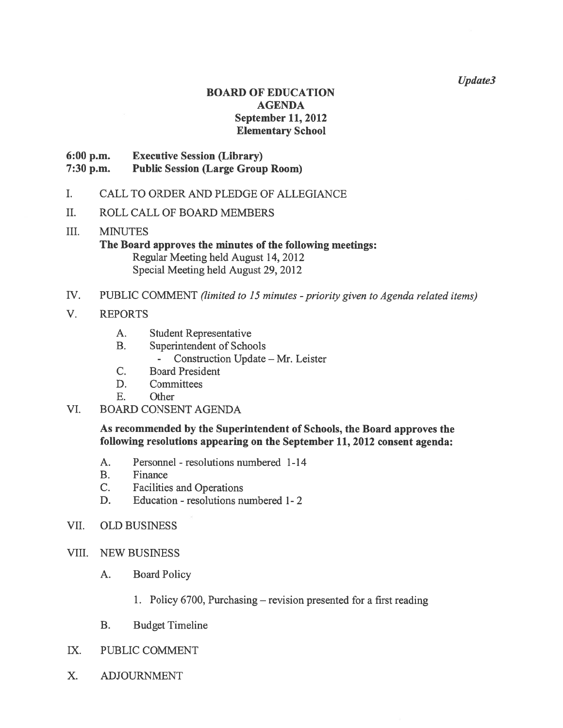Update3

## BOARD OF EDUCATION AGENDA September 11, 2012 Elementary School

6:00 p.m. Executive Session (Library)

- 7:30 p.m. Public Session (Large Group Room)
- I. CALL TO ORDER AND PLEDGE OF ALLEGIANCE
- II. ROLL CALL OF BOARD MEMBERS
- III. MiNUTES The Board approves the minutes of the following meetings: Regular Meeting held August 14, 2012 Special Meeting held August 29, 2012
- IV. PUBLIC COMMENT (limited to 15 minutes priority given to Agenda related items)
- V. REPORTS
	- A. Student Representative
	- B. Superintendent of Schools
		- Construction Update Mr. Leister
	- C. Board President
	- D. Committees
	- E. Other
- VI. BOARD CONSENT AGENDA

## As recommended by the Superintendent of Schools, the Board approves the following resolutions appearing on the September 11, 2012 consent agenda:

- A. Personnel resolutions numbered 1-14
- B. Finance
- C. Facilities and Operations
- D. Education resolutions numbered 1- 2
- VII. OLD BUSINESS
- VIII. NEW BUSINESS
	- A. Board Policy
		- 1. Policy 6700, Purchasing revision presented for <sup>a</sup> first reading
	- B. Budget Timeline
- IX. PUBLIC COMMENT
- X. ADJOURNMENT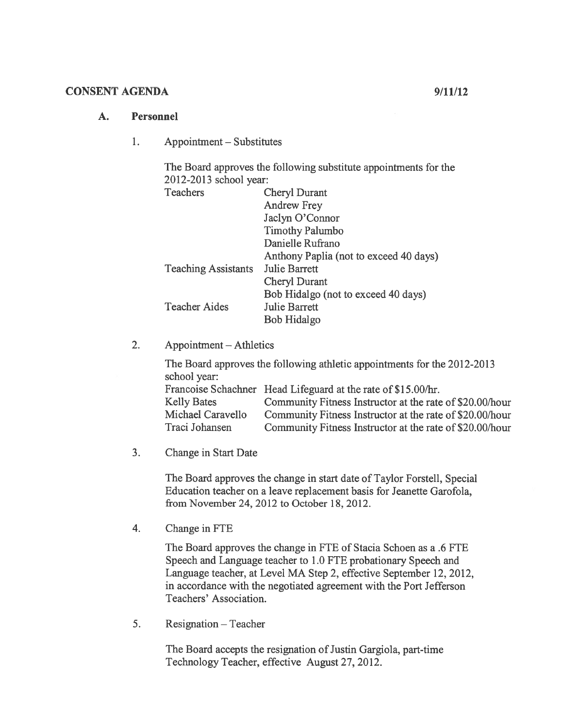### CONSENT AGENDA 9/11/12

### A. Personnel

#### $1.$ Appointment — Substitutes

The Board approves the following substitute appointments for the 2012-2013 school year:

| Teachers                   | Cheryl Durant                          |
|----------------------------|----------------------------------------|
|                            | <b>Andrew Frey</b>                     |
|                            | Jaclyn O'Connor                        |
|                            | <b>Timothy Palumbo</b>                 |
|                            | Danielle Rufrano                       |
|                            | Anthony Paplia (not to exceed 40 days) |
| <b>Teaching Assistants</b> | Julie Barrett                          |
|                            | Cheryl Durant                          |
|                            | Bob Hidalgo (not to exceed 40 days)    |
| <b>Teacher Aides</b>       | Julie Barrett                          |
|                            | Bob Hidalgo                            |
|                            |                                        |

2. Appointment — Athletics

The Board approves the following athletic appointments for the 2012-2013 school year: Francoise Schachner Head Lifeguard at the rate of \$15.00/hr. Kelly Bates Community Fitness Instructor at the rate of \$20.00/hour Michael Caravello Community Fitness Instructor at the rate of \$20.00/hour Traci Johansen Community Fitness Instructor at the rate of \$20.00/hour

3. Change in Start Date

The Board approves the change in start date of Taylor Forstell, Special Education teacher on <sup>a</sup> leave replacement basis for Jeanette Garofola, from November 24, 2012 to October 18, 2012.

4. Change in FTE

The Board approves the change in FTE of Stacia Schoen as <sup>a</sup> .6 FTE Speech and Language teacher to 1.0 FTE probationary Speech and Language teacher, at Level MA Step 2, effective September 12, 2012, in accordance with the negotiated agreemen<sup>t</sup> with the Port Jefferson Teachers' Association.

5. Resignation — Teacher

The Board accepts the resignation of Justin Gargiola, part-time Technology Teacher, effective August 27, 2012.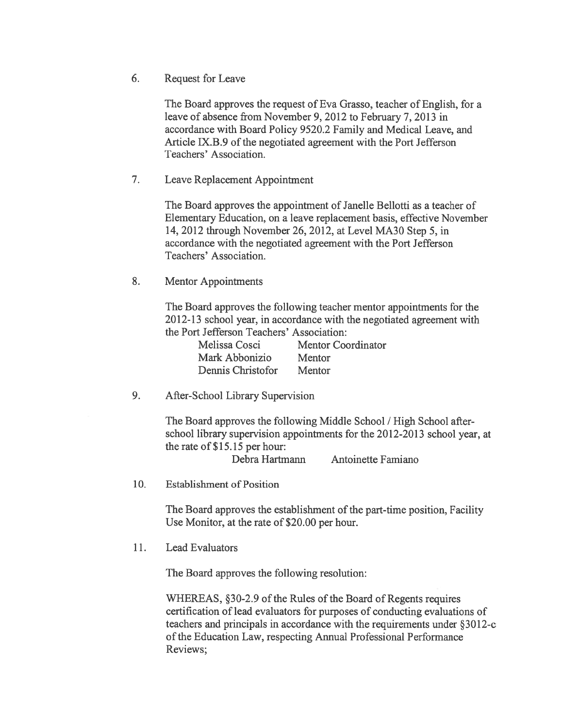6. Request for Leave

The Board approves the reques<sup>t</sup> of Eva Grasso, teacher of English, for <sup>a</sup> leave of absence from November 9,2012 to February 7,2013 in accordance with Board Policy 9520.2 Family and Medical Leave, and Article IX.B.9 of the negotiated agreement with the Port Jefferson Teachers' Association.

7. Leave Replacement Appointment

The Board approves the appointment of Janelle Bellotti as a teacher of Elementary Education, on <sup>a</sup> leave replacement basis, effective November 14, 2012 through November 26, 2012, at Level MA3O Step 5, in accordance with the negotiated agreemen<sup>t</sup> with the Port Jefferson Teachers' Association.

8. Mentor Appointments

The Board approves the following teacher mentor appointments for the 20 12-13 school year, in accordance with the negotiated agreemen<sup>t</sup> with the Port Jefferson Teachers' Association:

| Melissa Cosci     | Mentor Coordinator |
|-------------------|--------------------|
| Mark Abbonizio    | Mentor             |
| Dennis Christofor | Mentor             |

9. After-School Library Supervision

The Board approves the following Middle School / High School afterschool library supervision appointments for the 2012-2013 school year, at the rate of \$15.15 per hour:

Debra Hartmann Antoinette Famiano

10. Establishment of Position

The Board approves the establishment of the part-time position, Facility Use Monitor, at the rate of \$20.00 per hour.

11. Lead Evaluators

The Board approves the following resolution:

WHEREAS, §30-2.9 of the Rules of the Board of Regents requires certification of lead evaluators for purposes of conducting evaluations of teachers and principals in accordance with the requirements under § 3012-c of the Education Law, respecting Annual Professional Performance Reviews;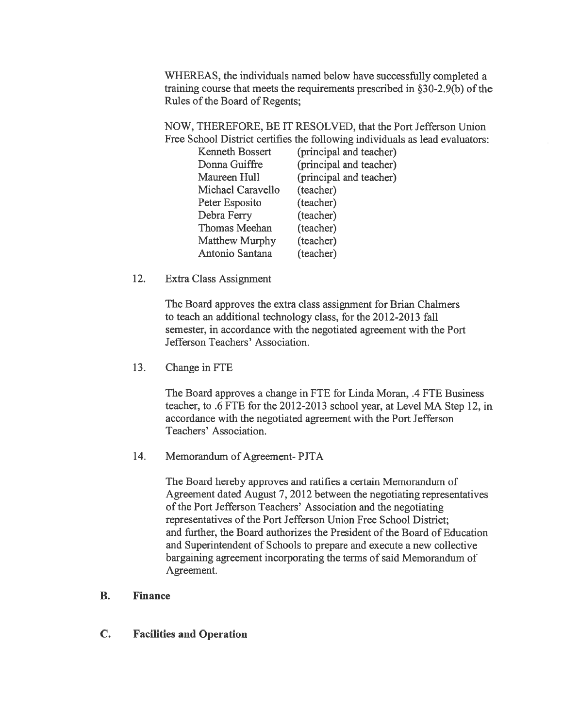WHEREAS, the individuals named below have successfully completed <sup>a</sup> training course that meets the requirements prescribed in  $§$ 30-2.9(b) of the Rules of the Board of Regents;

NOW, THEREFORE, BE IT RESOLVED, that the Port Jefferson Union Free School District certifies the following individuals as lead evaluators:

| <b>Kenneth Bossert</b> | (principal and teacher) |
|------------------------|-------------------------|
| Donna Guiffre          | (principal and teacher) |
| Maureen Hull           | (principal and teacher) |
| Michael Caravello      | (teacher)               |
| Peter Esposito         | (teacher)               |
| Debra Ferry            | (teacher)               |
| <b>Thomas Meehan</b>   | (teacher)               |
| Matthew Murphy         | (teacher)               |
| Antonio Santana        | (teacher)               |
|                        |                         |

12. Extra Class Assignment

The Board approves the extra class assignment for Brian Chalmers to teach an additional technology class, for the 2012-2013 fall semester, in accordance with the negotiated agreemen<sup>t</sup> with the Port Jefferson Teachers' Association.

13. Change in FTE

The Board approves <sup>a</sup> change in FTE for Linda Moran, .4 FTE Business teacher, to .6 FTE for the 2012-2013 school year, at Level MA Step 12, in accordance with the negotiated agreemen<sup>t</sup> with the Port Jefferson Teachers' Association.

14. Memorandum of Agreement- PJTA

The Board hereby approves and ratifies <sup>a</sup> certain Memorandum of Agreement dated August 7, 2012 between the negotiating representatives of the Port Jefferson Teachers' Association and the negotiating representatives of the Port Jefferson Union Free School District; and further, the Board authorizes the President of the Board of Education and Superintendent of Schools to prepare and execute <sup>a</sup> new collective bargaining agreement incorporating the terms of said Memorandum of Agreement.

- B. Finance
- C. Facilities and Operation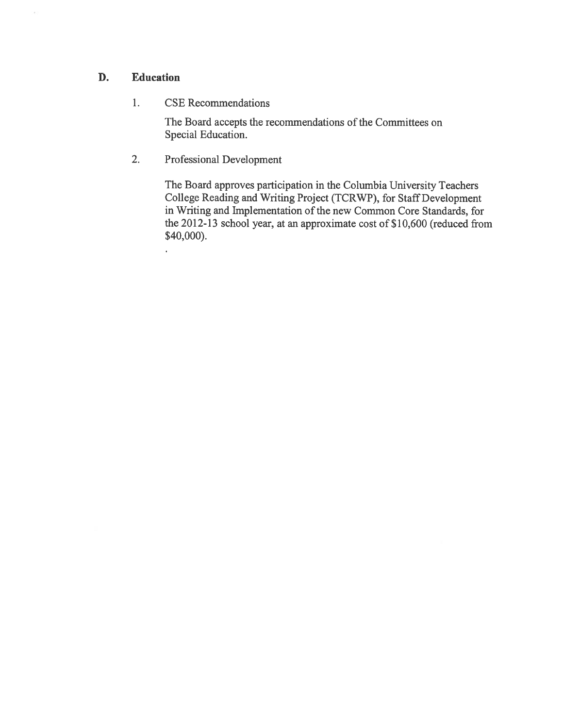## D. Education

### 1. CSE Recommendations

The Board accepts the recommendations of the Committees on Special Education.

2. Professional Development

The Board approves participation in the Columbia University Teachers College Reading and Writing Project (TCRWP), for Staff Development in Writing and Implementation of the new Common Core Standards, for the 2012-13 school year, at an approximate cost of \$10,600 (reduced from \$40,000).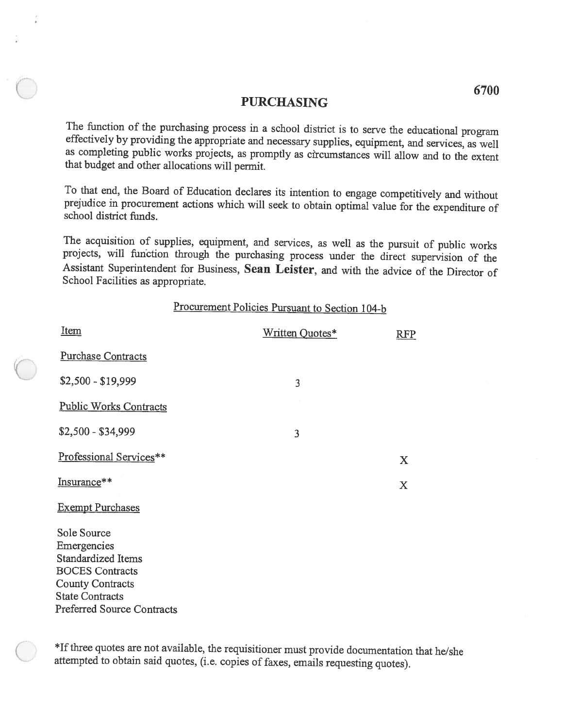# PURCHASING

The function of the purchasing process in <sup>a</sup> school district is to serve the educational program effectively by providing the appropriate and necessary supplies, equipment, and services, as well as completing public works projects, as promptly as circumstances will allow and to the extent that budget and other allocations will permit.

To that end, the Board of Education declares its intention to engage competitively and without prejudice in procurement actions which will seek to obtain optimal value for the expenditure of school district funds.

The acquisition of supplies, equipment, and services, as well as the pursuit of public works projects, will function through the purchasing process under the direct supervision of the Assistant Superintendent for Business, Sean Leister, and with the advice of the Director of School Facilities as appropriate.

## Procurement Policies Pursuant to Section 104-b

| <b>Item</b>                                                                                                                                                                 | Written Quotes* | <b>RFP</b> |
|-----------------------------------------------------------------------------------------------------------------------------------------------------------------------------|-----------------|------------|
| <b>Purchase Contracts</b>                                                                                                                                                   |                 |            |
| $$2,500 - $19,999$                                                                                                                                                          | 3               |            |
| <b>Public Works Contracts</b>                                                                                                                                               |                 |            |
| $$2,500 - $34,999$                                                                                                                                                          | 3               |            |
| Professional Services**                                                                                                                                                     |                 | X          |
| Insurance**                                                                                                                                                                 |                 | X          |
| <b>Exempt Purchases</b>                                                                                                                                                     |                 |            |
| Sole Source<br>Emergencies<br><b>Standardized Items</b><br><b>BOCES</b> Contracts<br><b>County Contracts</b><br><b>State Contracts</b><br><b>Preferred Source Contracts</b> |                 |            |
|                                                                                                                                                                             |                 |            |

\*Jf three quotes are not available, the requisitioner must provide documentation that he/she attempted to obtain said quotes, (i.e. copies of faxes, emails requesting quotes).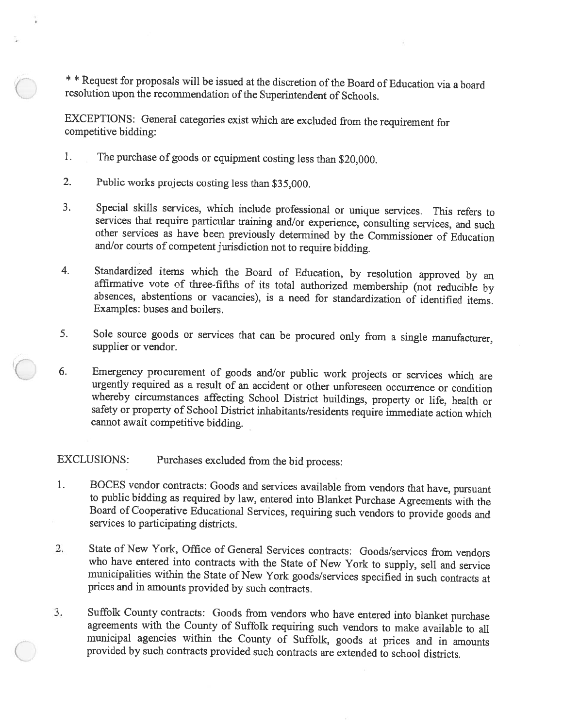\* \* Request for proposals will be issued at the discretion of the Board of Education via <sup>a</sup> board resolution upon the recommendation of the Superintendent of Schools.

EXCEPTIONS: General categories exist which are excluded from the requirement for competitive bidding:

- 1. The purchase of goods or equipment costing less than \$20,000.
- 2. Public works projects costing less than \$35,000.
- 3. Special skills services, which include professional or unique services. This refers to other services as have been previously determined by the Commissioner of Education and/or courts of competent jurisdiction not to require bidding.
- 4. Standardized items which the Board of Education, by resolution approved by an affirmative vote of three-fifths of its total authorized membership (not reducible by absences, abstentions or vacancies), is a need for stan Examples: buses and boilers.
- 5. Sole source goods or services that can be procured only from <sup>a</sup> single manufacturer, supplier or vendor.
- 6. Emergency procurement of goods and/or public work projects or services which are urgently required as <sup>a</sup> result of an accident or other unforeseen occurrence or condition safety or property of School District inhabitants/residents require immediate action which cannot await competitive bidding.

EXCLUSIONS: Purchases excluded from the bid process:

- 1. BOCES vendor contracts: Goods and services available from vendors that have, pursuant to public bidding as required by law, entered into Blanket Purchase Agreements with the Board of Cooperative Educational Services, re
- 2. State of New York, Office of General Services contracts: Goods/services from vendors who have entered into contracts with the State of New York to supply, sell and service municipalities within the State of New York goods/services specified in such contracts at prices and in amounts provided by such contracts.
- 3. Suffolk County contracts: Goods from vendors who have entered into blanket purchase agreements with the County of Suffolk requiring such vendors to make available to all municipal agencies within the County of Suffolk, goods at prices and in amounts provided by such contracts provided such contracts are extended to school districts.